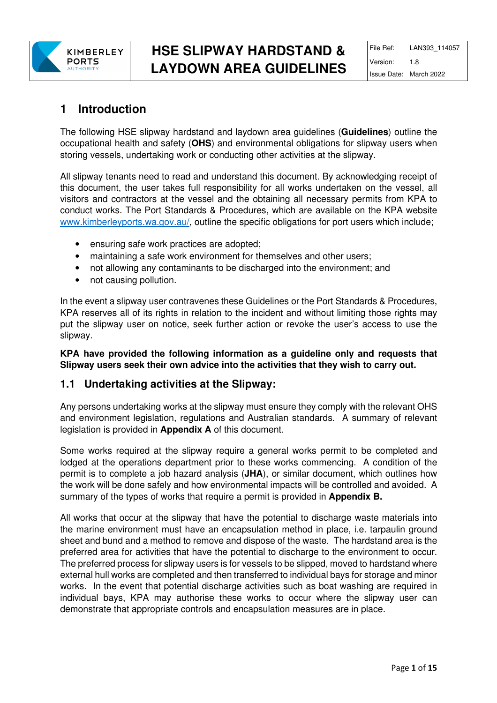

## **1 Introduction**

The following HSE slipway hardstand and laydown area guidelines (**Guidelines**) outline the occupational health and safety (**OHS**) and environmental obligations for slipway users when storing vessels, undertaking work or conducting other activities at the slipway.

All slipway tenants need to read and understand this document. By acknowledging receipt of this document, the user takes full responsibility for all works undertaken on the vessel, all visitors and contractors at the vessel and the obtaining all necessary permits from KPA to conduct works. The Port Standards & Procedures, which are available on the KPA website www.kimberleyports.wa.gov.au/, outline the specific obligations for port users which include;

- ensuring safe work practices are adopted;
- maintaining a safe work environment for themselves and other users;
- not allowing any contaminants to be discharged into the environment; and
- not causing pollution.

In the event a slipway user contravenes these Guidelines or the Port Standards & Procedures, KPA reserves all of its rights in relation to the incident and without limiting those rights may put the slipway user on notice, seek further action or revoke the user's access to use the slipway.

#### **KPA have provided the following information as a guideline only and requests that Slipway users seek their own advice into the activities that they wish to carry out.**

### **1.1 Undertaking activities at the Slipway:**

Any persons undertaking works at the slipway must ensure they comply with the relevant OHS and environment legislation, regulations and Australian standards. A summary of relevant legislation is provided in **Appendix A** of this document.

Some works required at the slipway require a general works permit to be completed and lodged at the operations department prior to these works commencing. A condition of the permit is to complete a job hazard analysis (**JHA**), or similar document, which outlines how the work will be done safely and how environmental impacts will be controlled and avoided. A summary of the types of works that require a permit is provided in **Appendix B.**

All works that occur at the slipway that have the potential to discharge waste materials into the marine environment must have an encapsulation method in place, i.e. tarpaulin ground sheet and bund and a method to remove and dispose of the waste. The hardstand area is the preferred area for activities that have the potential to discharge to the environment to occur. The preferred process for slipway users is for vessels to be slipped, moved to hardstand where external hull works are completed and then transferred to individual bays for storage and minor works. In the event that potential discharge activities such as boat washing are required in individual bays, KPA may authorise these works to occur where the slipway user can demonstrate that appropriate controls and encapsulation measures are in place.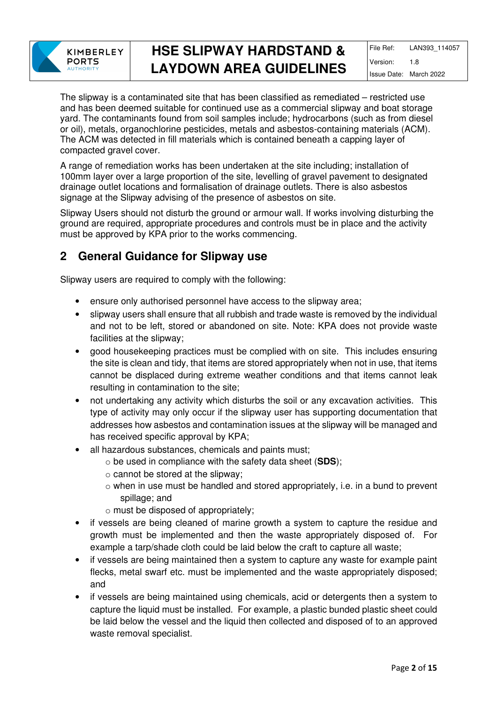

The slipway is a contaminated site that has been classified as remediated – restricted use and has been deemed suitable for continued use as a commercial slipway and boat storage yard. The contaminants found from soil samples include; hydrocarbons (such as from diesel or oil), metals, organochlorine pesticides, metals and asbestos-containing materials (ACM). The ACM was detected in fill materials which is contained beneath a capping layer of compacted gravel cover.

A range of remediation works has been undertaken at the site including; installation of 100mm layer over a large proportion of the site, levelling of gravel pavement to designated drainage outlet locations and formalisation of drainage outlets. There is also asbestos signage at the Slipway advising of the presence of asbestos on site.

Slipway Users should not disturb the ground or armour wall. If works involving disturbing the ground are required, appropriate procedures and controls must be in place and the activity must be approved by KPA prior to the works commencing.

## **2 General Guidance for Slipway use**

Slipway users are required to comply with the following:

- ensure only authorised personnel have access to the slipway area;
- slipway users shall ensure that all rubbish and trade waste is removed by the individual and not to be left, stored or abandoned on site. Note: KPA does not provide waste facilities at the slipway;
- good housekeeping practices must be complied with on site. This includes ensuring the site is clean and tidy, that items are stored appropriately when not in use, that items cannot be displaced during extreme weather conditions and that items cannot leak resulting in contamination to the site;
- not undertaking any activity which disturbs the soil or any excavation activities. This type of activity may only occur if the slipway user has supporting documentation that addresses how asbestos and contamination issues at the slipway will be managed and has received specific approval by KPA;
- all hazardous substances, chemicals and paints must;
	- o be used in compliance with the safety data sheet (**SDS**);
	- o cannot be stored at the slipway;
	- o when in use must be handled and stored appropriately, i.e. in a bund to prevent spillage; and
	- o must be disposed of appropriately;
- if vessels are being cleaned of marine growth a system to capture the residue and growth must be implemented and then the waste appropriately disposed of. For example a tarp/shade cloth could be laid below the craft to capture all waste;
- if vessels are being maintained then a system to capture any waste for example paint flecks, metal swarf etc. must be implemented and the waste appropriately disposed; and
- if vessels are being maintained using chemicals, acid or detergents then a system to capture the liquid must be installed. For example, a plastic bunded plastic sheet could be laid below the vessel and the liquid then collected and disposed of to an approved waste removal specialist.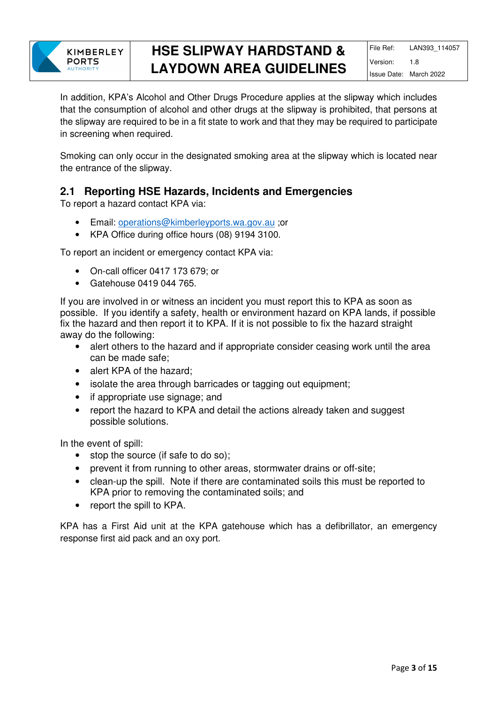

In addition, KPA's Alcohol and Other Drugs Procedure applies at the slipway which includes that the consumption of alcohol and other drugs at the slipway is prohibited, that persons at the slipway are required to be in a fit state to work and that they may be required to participate in screening when required.

Smoking can only occur in the designated smoking area at the slipway which is located near the entrance of the slipway.

### **2.1 Reporting HSE Hazards, Incidents and Emergencies**

To report a hazard contact KPA via:

- Email: operations@kimberleyports.wa.gov.au ;or
- KPA Office during office hours (08) 9194 3100.

To report an incident or emergency contact KPA via:

- On-call officer 0417 173 679; or
- Gatehouse 0419 044 765.

If you are involved in or witness an incident you must report this to KPA as soon as possible. If you identify a safety, health or environment hazard on KPA lands, if possible fix the hazard and then report it to KPA. If it is not possible to fix the hazard straight away do the following:

- alert others to the hazard and if appropriate consider ceasing work until the area can be made safe;
- alert KPA of the hazard:
- isolate the area through barricades or tagging out equipment;
- if appropriate use signage; and
- report the hazard to KPA and detail the actions already taken and suggest possible solutions.

In the event of spill:

- stop the source (if safe to do so);
- prevent it from running to other areas, stormwater drains or off-site;
- clean-up the spill. Note if there are contaminated soils this must be reported to KPA prior to removing the contaminated soils; and
- report the spill to KPA.

KPA has a First Aid unit at the KPA gatehouse which has a defibrillator, an emergency response first aid pack and an oxy port.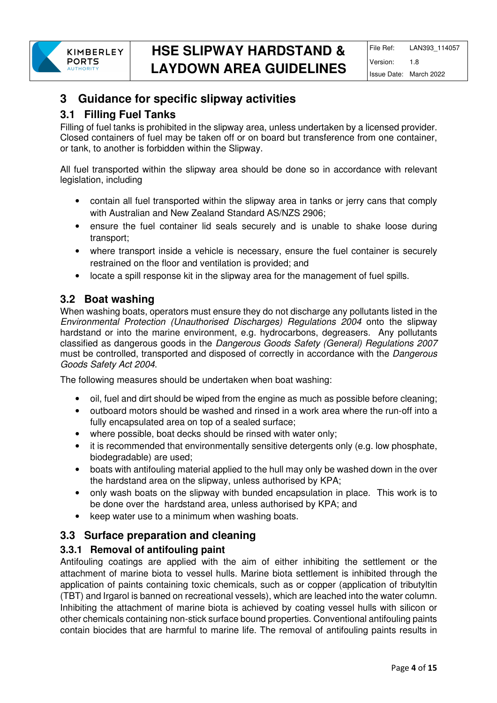

## **3 Guidance for specific slipway activities**

### **3.1 Filling Fuel Tanks**

Filling of fuel tanks is prohibited in the slipway area, unless undertaken by a licensed provider. Closed containers of fuel may be taken off or on board but transference from one container, or tank, to another is forbidden within the Slipway.

All fuel transported within the slipway area should be done so in accordance with relevant legislation, including

- contain all fuel transported within the slipway area in tanks or jerry cans that comply with Australian and New Zealand Standard AS/NZS 2906;
- ensure the fuel container lid seals securely and is unable to shake loose during transport;
- where transport inside a vehicle is necessary, ensure the fuel container is securely restrained on the floor and ventilation is provided; and
- locate a spill response kit in the slipway area for the management of fuel spills.

### **3.2 Boat washing**

When washing boats, operators must ensure they do not discharge any pollutants listed in the Environmental Protection (Unauthorised Discharges) Regulations 2004 onto the slipway hardstand or into the marine environment, e.g. hydrocarbons, degreasers. Any pollutants classified as dangerous goods in the Dangerous Goods Safety (General) Regulations 2007 must be controlled, transported and disposed of correctly in accordance with the Dangerous Goods Safety Act 2004.

The following measures should be undertaken when boat washing:

- oil, fuel and dirt should be wiped from the engine as much as possible before cleaning;
- outboard motors should be washed and rinsed in a work area where the run-off into a fully encapsulated area on top of a sealed surface;
- where possible, boat decks should be rinsed with water only;
- it is recommended that environmentally sensitive detergents only (e.g. low phosphate, biodegradable) are used;
- boats with antifouling material applied to the hull may only be washed down in the over the hardstand area on the slipway, unless authorised by KPA;
- only wash boats on the slipway with bunded encapsulation in place. This work is to be done over the hardstand area, unless authorised by KPA; and
- keep water use to a minimum when washing boats.

### **3.3 Surface preparation and cleaning**

#### **3.3.1 Removal of antifouling paint**

Antifouling coatings are applied with the aim of either inhibiting the settlement or the attachment of marine biota to vessel hulls. Marine biota settlement is inhibited through the application of paints containing toxic chemicals, such as or copper (application of tributyltin (TBT) and Irgarol is banned on recreational vessels), which are leached into the water column. Inhibiting the attachment of marine biota is achieved by coating vessel hulls with silicon or other chemicals containing non-stick surface bound properties. Conventional antifouling paints contain biocides that are harmful to marine life. The removal of antifouling paints results in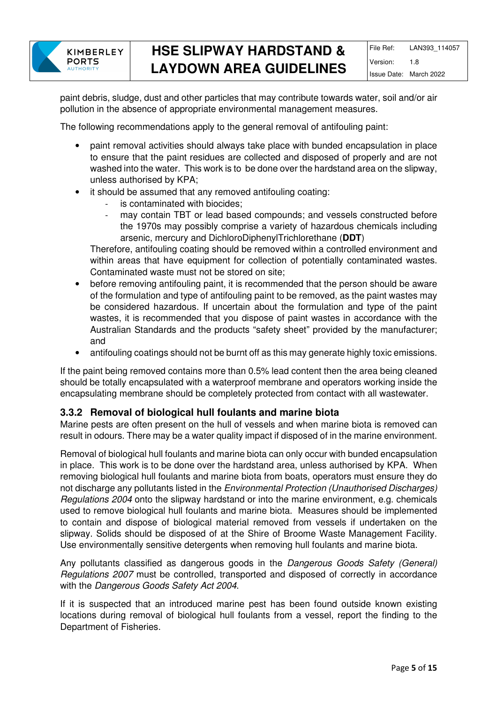

paint debris, sludge, dust and other particles that may contribute towards water, soil and/or air pollution in the absence of appropriate environmental management measures.

The following recommendations apply to the general removal of antifouling paint:

- paint removal activities should always take place with bunded encapsulation in place to ensure that the paint residues are collected and disposed of properly and are not washed into the water. This work is to be done over the hardstand area on the slipway, unless authorised by KPA;
- it should be assumed that any removed antifouling coating:
	- is contaminated with biocides;
	- mav contain TBT or lead based compounds; and vessels constructed before the 1970s may possibly comprise a variety of hazardous chemicals including arsenic, mercury and DichloroDiphenylTrichlorethane (**DDT**)

Therefore, antifouling coating should be removed within a controlled environment and within areas that have equipment for collection of potentially contaminated wastes. Contaminated waste must not be stored on site;

- before removing antifouling paint, it is recommended that the person should be aware of the formulation and type of antifouling paint to be removed, as the paint wastes may be considered hazardous. If uncertain about the formulation and type of the paint wastes, it is recommended that you dispose of paint wastes in accordance with the Australian Standards and the products "safety sheet" provided by the manufacturer; and
- antifouling coatings should not be burnt off as this may generate highly toxic emissions.

If the paint being removed contains more than 0.5% lead content then the area being cleaned should be totally encapsulated with a waterproof membrane and operators working inside the encapsulating membrane should be completely protected from contact with all wastewater.

#### **3.3.2 Removal of biological hull foulants and marine biota**

Marine pests are often present on the hull of vessels and when marine biota is removed can result in odours. There may be a water quality impact if disposed of in the marine environment.

Removal of biological hull foulants and marine biota can only occur with bunded encapsulation in place. This work is to be done over the hardstand area, unless authorised by KPA. When removing biological hull foulants and marine biota from boats, operators must ensure they do not discharge any pollutants listed in the Environmental Protection (Unauthorised Discharges) Regulations 2004 onto the slipway hardstand or into the marine environment, e.g. chemicals used to remove biological hull foulants and marine biota. Measures should be implemented to contain and dispose of biological material removed from vessels if undertaken on the slipway. Solids should be disposed of at the Shire of Broome Waste Management Facility. Use environmentally sensitive detergents when removing hull foulants and marine biota.

Any pollutants classified as dangerous goods in the Dangerous Goods Safety (General) Regulations 2007 must be controlled, transported and disposed of correctly in accordance with the Dangerous Goods Safety Act 2004.

If it is suspected that an introduced marine pest has been found outside known existing locations during removal of biological hull foulants from a vessel, report the finding to the Department of Fisheries.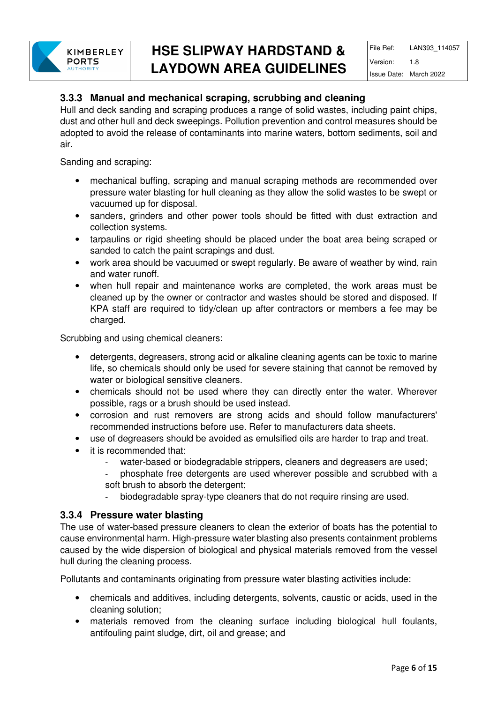### **3.3.3 Manual and mechanical scraping, scrubbing and cleaning**

Hull and deck sanding and scraping produces a range of solid wastes, including paint chips, dust and other hull and deck sweepings. Pollution prevention and control measures should be adopted to avoid the release of contaminants into marine waters, bottom sediments, soil and air.

Sanding and scraping:

- mechanical buffing, scraping and manual scraping methods are recommended over pressure water blasting for hull cleaning as they allow the solid wastes to be swept or vacuumed up for disposal.
- sanders, grinders and other power tools should be fitted with dust extraction and collection systems.
- tarpaulins or rigid sheeting should be placed under the boat area being scraped or sanded to catch the paint scrapings and dust.
- work area should be vacuumed or swept regularly. Be aware of weather by wind, rain and water runoff.
- when hull repair and maintenance works are completed, the work areas must be cleaned up by the owner or contractor and wastes should be stored and disposed. If KPA staff are required to tidy/clean up after contractors or members a fee may be charged.

Scrubbing and using chemical cleaners:

- detergents, degreasers, strong acid or alkaline cleaning agents can be toxic to marine life, so chemicals should only be used for severe staining that cannot be removed by water or biological sensitive cleaners.
- chemicals should not be used where they can directly enter the water. Wherever possible, rags or a brush should be used instead.
- corrosion and rust removers are strong acids and should follow manufacturers' recommended instructions before use. Refer to manufacturers data sheets.
- use of degreasers should be avoided as emulsified oils are harder to trap and treat.
- it is recommended that:
	- water-based or biodegradable strippers, cleaners and degreasers are used;
	- phosphate free detergents are used wherever possible and scrubbed with a soft brush to absorb the detergent;
	- biodegradable spray-type cleaners that do not require rinsing are used.

#### **3.3.4 Pressure water blasting**

The use of water-based pressure cleaners to clean the exterior of boats has the potential to cause environmental harm. High-pressure water blasting also presents containment problems caused by the wide dispersion of biological and physical materials removed from the vessel hull during the cleaning process.

Pollutants and contaminants originating from pressure water blasting activities include:

- chemicals and additives, including detergents, solvents, caustic or acids, used in the cleaning solution;
- materials removed from the cleaning surface including biological hull foulants, antifouling paint sludge, dirt, oil and grease; and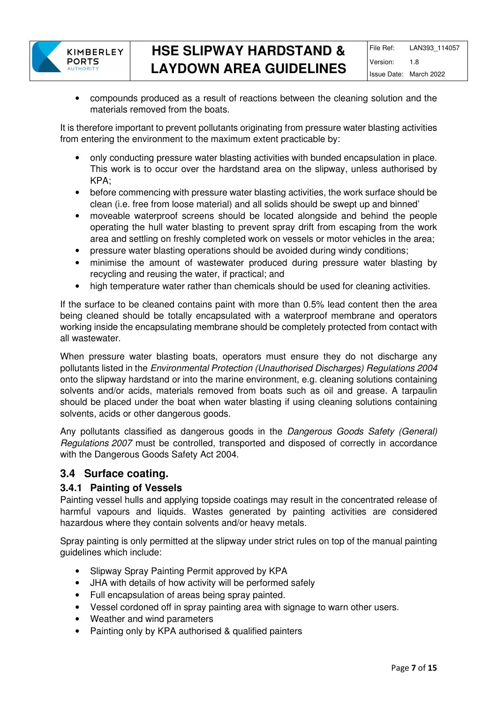

• compounds produced as a result of reactions between the cleaning solution and the materials removed from the boats.

It is therefore important to prevent pollutants originating from pressure water blasting activities from entering the environment to the maximum extent practicable by:

- only conducting pressure water blasting activities with bunded encapsulation in place. This work is to occur over the hardstand area on the slipway, unless authorised by KPA;
- before commencing with pressure water blasting activities, the work surface should be clean (i.e. free from loose material) and all solids should be swept up and binned'
- moveable waterproof screens should be located alongside and behind the people operating the hull water blasting to prevent spray drift from escaping from the work area and settling on freshly completed work on vessels or motor vehicles in the area;
- pressure water blasting operations should be avoided during windy conditions;
- minimise the amount of wastewater produced during pressure water blasting by recycling and reusing the water, if practical; and
- high temperature water rather than chemicals should be used for cleaning activities.

If the surface to be cleaned contains paint with more than 0.5% lead content then the area being cleaned should be totally encapsulated with a waterproof membrane and operators working inside the encapsulating membrane should be completely protected from contact with all wastewater.

When pressure water blasting boats, operators must ensure they do not discharge any pollutants listed in the Environmental Protection (Unauthorised Discharges) Regulations 2004 onto the slipway hardstand or into the marine environment, e.g. cleaning solutions containing solvents and/or acids, materials removed from boats such as oil and grease. A tarpaulin should be placed under the boat when water blasting if using cleaning solutions containing solvents, acids or other dangerous goods.

Any pollutants classified as dangerous goods in the Dangerous Goods Safety (General) Regulations 2007 must be controlled, transported and disposed of correctly in accordance with the Dangerous Goods Safety Act 2004.

#### **3.4 Surface coating.**

#### **3.4.1 Painting of Vessels**

Painting vessel hulls and applying topside coatings may result in the concentrated release of harmful vapours and liquids. Wastes generated by painting activities are considered hazardous where they contain solvents and/or heavy metals.

Spray painting is only permitted at the slipway under strict rules on top of the manual painting guidelines which include:

- Slipway Spray Painting Permit approved by KPA
- JHA with details of how activity will be performed safely
- Full encapsulation of areas being spray painted.
- Vessel cordoned off in spray painting area with signage to warn other users.
- Weather and wind parameters
- Painting only by KPA authorised & qualified painters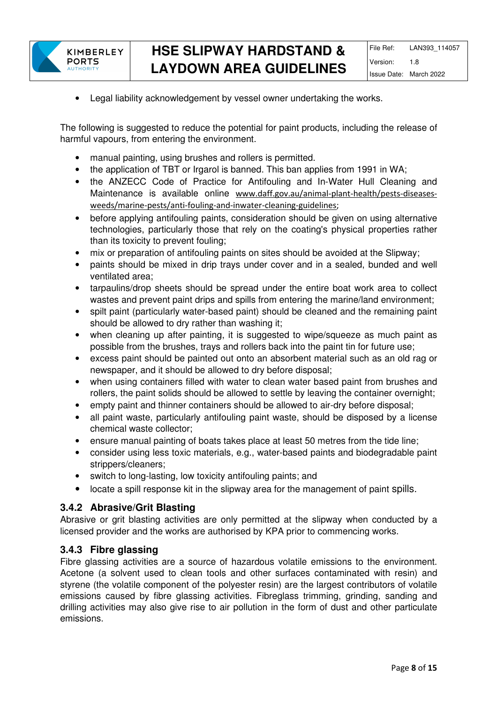

• Legal liability acknowledgement by vessel owner undertaking the works.

The following is suggested to reduce the potential for paint products, including the release of harmful vapours, from entering the environment.

- manual painting, using brushes and rollers is permitted.
- the application of TBT or Irgarol is banned. This ban applies from 1991 in WA;
- the ANZECC Code of Practice for Antifouling and In-Water Hull Cleaning and Maintenance is available online www.daff.gov.au/animal-plant-health/pests-diseasesweeds/marine-pests/anti-fouling-and-inwater-cleaning-guidelines;
- before applying antifouling paints, consideration should be given on using alternative technologies, particularly those that rely on the coating's physical properties rather than its toxicity to prevent fouling;
- mix or preparation of antifouling paints on sites should be avoided at the Slipway;
- paints should be mixed in drip trays under cover and in a sealed, bunded and well ventilated area;
- tarpaulins/drop sheets should be spread under the entire boat work area to collect wastes and prevent paint drips and spills from entering the marine/land environment;
- spilt paint (particularly water-based paint) should be cleaned and the remaining paint should be allowed to dry rather than washing it;
- when cleaning up after painting, it is suggested to wipe/squeeze as much paint as possible from the brushes, trays and rollers back into the paint tin for future use;
- excess paint should be painted out onto an absorbent material such as an old rag or newspaper, and it should be allowed to dry before disposal;
- when using containers filled with water to clean water based paint from brushes and rollers, the paint solids should be allowed to settle by leaving the container overnight;
- empty paint and thinner containers should be allowed to air-dry before disposal;
- all paint waste, particularly antifouling paint waste, should be disposed by a license chemical waste collector;
- ensure manual painting of boats takes place at least 50 metres from the tide line;
- consider using less toxic materials, e.g., water-based paints and biodegradable paint strippers/cleaners;
- switch to long-lasting, low toxicity antifouling paints; and
- locate a spill response kit in the slipway area for the management of paint spills.

#### **3.4.2 Abrasive/Grit Blasting**

Abrasive or grit blasting activities are only permitted at the slipway when conducted by a licensed provider and the works are authorised by KPA prior to commencing works.

#### **3.4.3 Fibre glassing**

Fibre glassing activities are a source of hazardous volatile emissions to the environment. Acetone (a solvent used to clean tools and other surfaces contaminated with resin) and styrene (the volatile component of the polyester resin) are the largest contributors of volatile emissions caused by fibre glassing activities. Fibreglass trimming, grinding, sanding and drilling activities may also give rise to air pollution in the form of dust and other particulate emissions.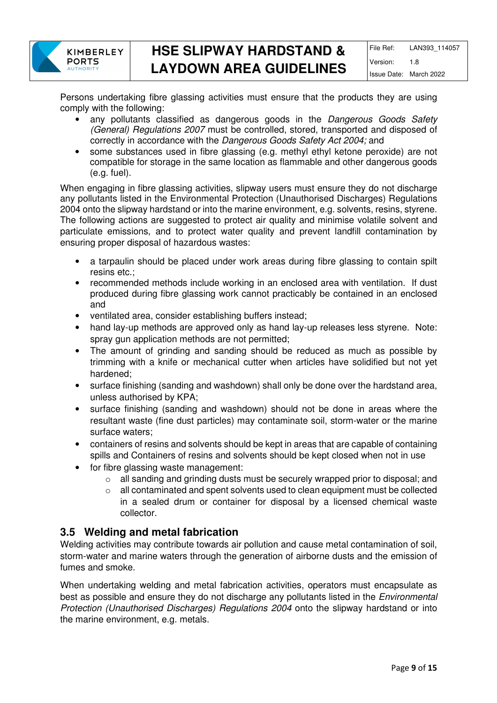

Persons undertaking fibre glassing activities must ensure that the products they are using comply with the following:

- any pollutants classified as dangerous goods in the Dangerous Goods Safety (General) Regulations 2007 must be controlled, stored, transported and disposed of correctly in accordance with the Dangerous Goods Safety Act 2004; and
- some substances used in fibre glassing (e.g. methyl ethyl ketone peroxide) are not compatible for storage in the same location as flammable and other dangerous goods (e.g. fuel).

When engaging in fibre glassing activities, slipway users must ensure they do not discharge any pollutants listed in the Environmental Protection (Unauthorised Discharges) Regulations 2004 onto the slipway hardstand or into the marine environment, e.g. solvents, resins, styrene. The following actions are suggested to protect air quality and minimise volatile solvent and particulate emissions, and to protect water quality and prevent landfill contamination by ensuring proper disposal of hazardous wastes:

- a tarpaulin should be placed under work areas during fibre glassing to contain spilt resins etc.;
- recommended methods include working in an enclosed area with ventilation. If dust produced during fibre glassing work cannot practicably be contained in an enclosed and
- ventilated area, consider establishing buffers instead;
- hand lay-up methods are approved only as hand lay-up releases less styrene. Note: spray gun application methods are not permitted;
- The amount of grinding and sanding should be reduced as much as possible by trimming with a knife or mechanical cutter when articles have solidified but not yet hardened;
- surface finishing (sanding and washdown) shall only be done over the hardstand area, unless authorised by KPA;
- surface finishing (sanding and washdown) should not be done in areas where the resultant waste (fine dust particles) may contaminate soil, storm-water or the marine surface waters;
- containers of resins and solvents should be kept in areas that are capable of containing spills and Containers of resins and solvents should be kept closed when not in use
- for fibre glassing waste management:
	- o all sanding and grinding dusts must be securely wrapped prior to disposal; and
	- $\circ$  all contaminated and spent solvents used to clean equipment must be collected in a sealed drum or container for disposal by a licensed chemical waste collector.

### **3.5 Welding and metal fabrication**

Welding activities may contribute towards air pollution and cause metal contamination of soil, storm-water and marine waters through the generation of airborne dusts and the emission of fumes and smoke.

When undertaking welding and metal fabrication activities, operators must encapsulate as best as possible and ensure they do not discharge any pollutants listed in the Environmental Protection (Unauthorised Discharges) Regulations 2004 onto the slipway hardstand or into the marine environment, e.g. metals.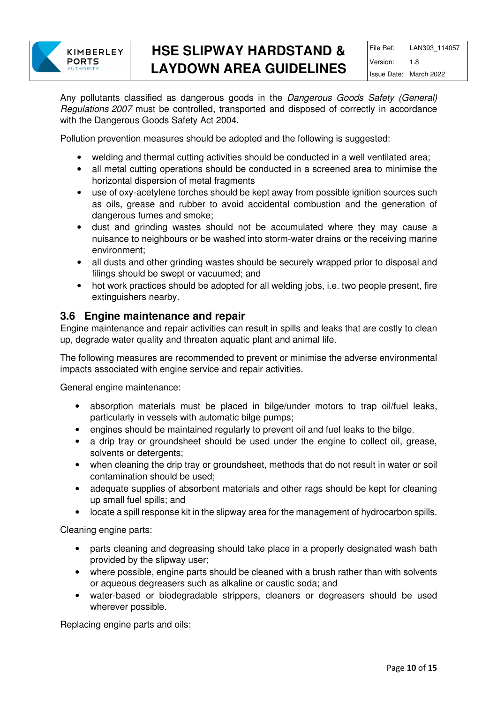

Any pollutants classified as dangerous goods in the Dangerous Goods Safety (General) Regulations 2007 must be controlled, transported and disposed of correctly in accordance with the Dangerous Goods Safety Act 2004.

Pollution prevention measures should be adopted and the following is suggested:

- welding and thermal cutting activities should be conducted in a well ventilated area;
- all metal cutting operations should be conducted in a screened area to minimise the horizontal dispersion of metal fragments
- use of oxy-acetylene torches should be kept away from possible ignition sources such as oils, grease and rubber to avoid accidental combustion and the generation of dangerous fumes and smoke;
- dust and grinding wastes should not be accumulated where they may cause a nuisance to neighbours or be washed into storm-water drains or the receiving marine environment;
- all dusts and other grinding wastes should be securely wrapped prior to disposal and filings should be swept or vacuumed; and
- hot work practices should be adopted for all welding jobs, i.e. two people present, fire extinguishers nearby.

#### **3.6 Engine maintenance and repair**

Engine maintenance and repair activities can result in spills and leaks that are costly to clean up, degrade water quality and threaten aquatic plant and animal life.

The following measures are recommended to prevent or minimise the adverse environmental impacts associated with engine service and repair activities.

General engine maintenance:

- absorption materials must be placed in bilge/under motors to trap oil/fuel leaks, particularly in vessels with automatic bilge pumps;
- engines should be maintained regularly to prevent oil and fuel leaks to the bilge.
- a drip tray or groundsheet should be used under the engine to collect oil, grease, solvents or detergents;
- when cleaning the drip tray or groundsheet, methods that do not result in water or soil contamination should be used;
- adequate supplies of absorbent materials and other rags should be kept for cleaning up small fuel spills; and
- locate a spill response kit in the slipway area for the management of hydrocarbon spills.

Cleaning engine parts:

- parts cleaning and degreasing should take place in a properly designated wash bath provided by the slipway user;
- where possible, engine parts should be cleaned with a brush rather than with solvents or aqueous degreasers such as alkaline or caustic soda; and
- water-based or biodegradable strippers, cleaners or degreasers should be used wherever possible.

Replacing engine parts and oils: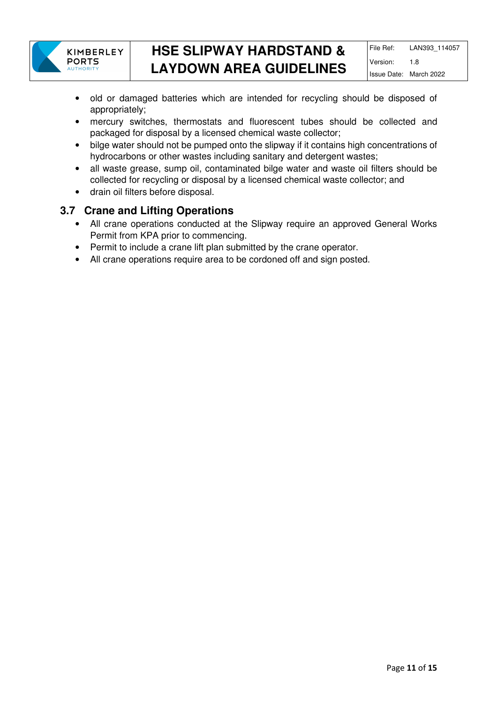

- old or damaged batteries which are intended for recycling should be disposed of appropriately;
- mercury switches, thermostats and fluorescent tubes should be collected and packaged for disposal by a licensed chemical waste collector;
- bilge water should not be pumped onto the slipway if it contains high concentrations of hydrocarbons or other wastes including sanitary and detergent wastes;
- all waste grease, sump oil, contaminated bilge water and waste oil filters should be collected for recycling or disposal by a licensed chemical waste collector; and
- drain oil filters before disposal.

### **3.7 Crane and Lifting Operations**

- All crane operations conducted at the Slipway require an approved General Works Permit from KPA prior to commencing.
- Permit to include a crane lift plan submitted by the crane operator.
- All crane operations require area to be cordoned off and sign posted.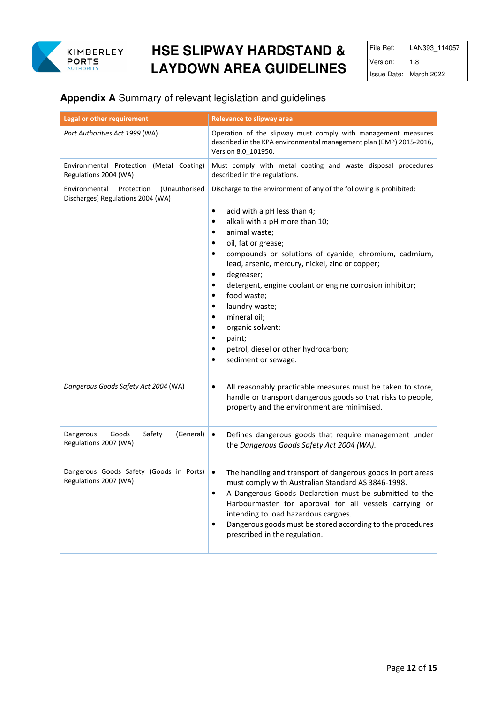

### **Appendix A** Summary of relevant legislation and guidelines

| Legal or other requirement                                                        | <b>Relevance to slipway area</b>                                                                                                                                                                                                                                                                                                                                                                                                                                                                                                               |
|-----------------------------------------------------------------------------------|------------------------------------------------------------------------------------------------------------------------------------------------------------------------------------------------------------------------------------------------------------------------------------------------------------------------------------------------------------------------------------------------------------------------------------------------------------------------------------------------------------------------------------------------|
| Port Authorities Act 1999 (WA)                                                    | Operation of the slipway must comply with management measures<br>described in the KPA environmental management plan (EMP) 2015-2016,<br>Version 8.0_101950.                                                                                                                                                                                                                                                                                                                                                                                    |
| Environmental Protection (Metal Coating)<br>Regulations 2004 (WA)                 | Must comply with metal coating and waste disposal procedures<br>described in the regulations.                                                                                                                                                                                                                                                                                                                                                                                                                                                  |
| Environmental<br>(Unauthorised<br>Protection<br>Discharges) Regulations 2004 (WA) | Discharge to the environment of any of the following is prohibited:<br>acid with a pH less than 4;<br>٠<br>alkali with a pH more than 10;<br>animal waste;<br>٠<br>oil, fat or grease;<br>compounds or solutions of cyanide, chromium, cadmium,<br>٠<br>lead, arsenic, mercury, nickel, zinc or copper;<br>degreaser;<br>٠<br>detergent, engine coolant or engine corrosion inhibitor;<br>food waste;<br>laundry waste;<br>mineral oil;<br>organic solvent;<br>paint;<br>petrol, diesel or other hydrocarbon;<br>٠<br>sediment or sewage.<br>٠ |
| Dangerous Goods Safety Act 2004 (WA)                                              | All reasonably practicable measures must be taken to store,<br>٠<br>handle or transport dangerous goods so that risks to people,<br>property and the environment are minimised.                                                                                                                                                                                                                                                                                                                                                                |
| Safety<br>Dangerous<br>Goods<br>(General)<br>Regulations 2007 (WA)                | $\bullet$<br>Defines dangerous goods that require management under<br>the Dangerous Goods Safety Act 2004 (WA).                                                                                                                                                                                                                                                                                                                                                                                                                                |
| Dangerous Goods Safety (Goods in Ports)<br>Regulations 2007 (WA)                  | The handling and transport of dangerous goods in port areas<br>$\bullet$<br>must comply with Australian Standard AS 3846-1998.<br>A Dangerous Goods Declaration must be submitted to the<br>٠<br>Harbourmaster for approval for all vessels carrying or<br>intending to load hazardous cargoes.<br>Dangerous goods must be stored according to the procedures<br>$\bullet$<br>prescribed in the regulation.                                                                                                                                    |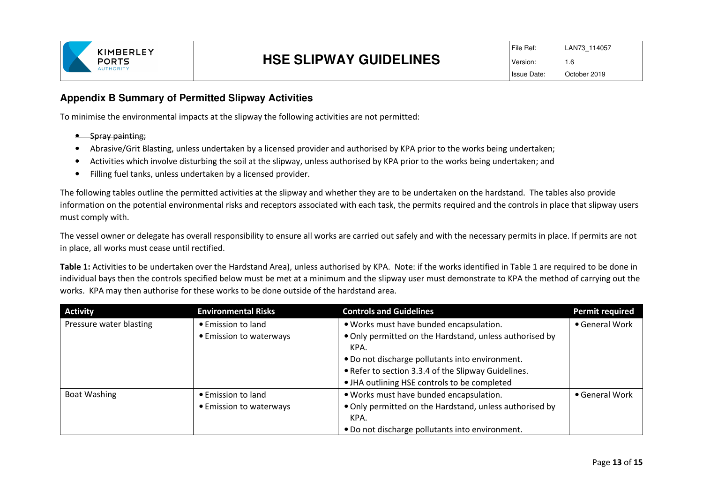

#### **Appendix B Summary of Permitted Slipway Activities**

To minimise the environmental impacts at the slipway the following activities are not permitted:

- Spray painting;
- •Abrasive/Grit Blasting, unless undertaken by a licensed provider and authorised by KPA prior to the works being undertaken;
- •Activities which involve disturbing the soil at the slipway, unless authorised by KPA prior to the works being undertaken; and
- $\bullet$ Filling fuel tanks, unless undertaken by a licensed provider.

The following tables outline the permitted activities at the slipway and whether they are to be undertaken on the hardstand. The tables also provide information on the potential environmental risks and receptors associated with each task, the permits required and the controls in place that slipway users must comply with.

The vessel owner or delegate has overall responsibility to ensure all works are carried out safely and with the necessary permits in place. If permits are not in place, all works must cease until rectified.

**Table 1:** Activities to be undertaken over the Hardstand Area), unless authorised by KPA. Note: if the works identified in Table 1 are required to be done in individual bays then the controls specified below must be met at a minimum and the slipway user must demonstrate to KPA the method of carrying out the works. KPA may then authorise for these works to be done outside of the hardstand area.

| <b>Activity</b>         | <b>Environmental Risks</b> | <b>Controls and Guidelines</b>                                  | Permit required |
|-------------------------|----------------------------|-----------------------------------------------------------------|-----------------|
| Pressure water blasting | • Emission to land         | . Works must have bunded encapsulation.                         | • General Work  |
|                         | • Emission to waterways    | . Only permitted on the Hardstand, unless authorised by<br>KPA. |                 |
|                         |                            | • Do not discharge pollutants into environment.                 |                 |
|                         |                            | • Refer to section 3.3.4 of the Slipway Guidelines.             |                 |
|                         |                            | • JHA outlining HSE controls to be completed                    |                 |
| Boat Washing            | • Emission to land         | . Works must have bunded encapsulation.                         | • General Work  |
|                         | • Emission to waterways    | . Only permitted on the Hardstand, unless authorised by         |                 |
|                         |                            | KPA.                                                            |                 |
|                         |                            | . Do not discharge pollutants into environment.                 |                 |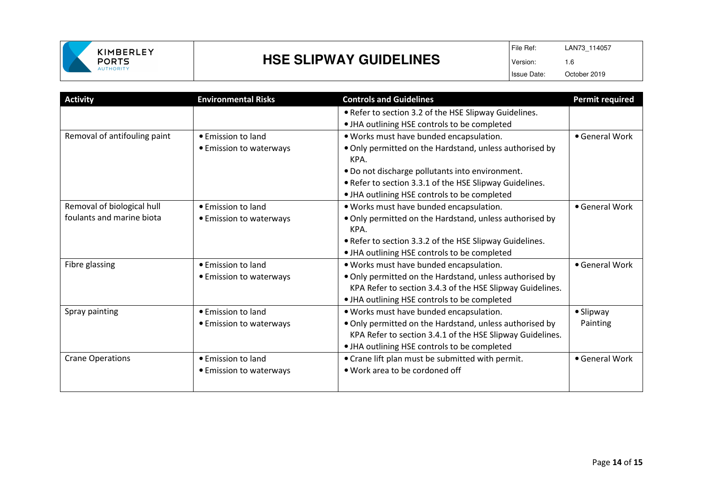

# **HSE SLIPWAY GUIDELINES**

| <b>Activity</b>              | <b>Environmental Risks</b> | <b>Controls and Guidelines</b>                                  | <b>Permit required</b> |
|------------------------------|----------------------------|-----------------------------------------------------------------|------------------------|
|                              |                            | . Refer to section 3.2 of the HSE Slipway Guidelines.           |                        |
|                              |                            | • JHA outlining HSE controls to be completed                    |                        |
| Removal of antifouling paint | • Emission to land         | . Works must have bunded encapsulation.                         | • General Work         |
|                              | • Emission to waterways    | . Only permitted on the Hardstand, unless authorised by<br>KPA. |                        |
|                              |                            | . Do not discharge pollutants into environment.                 |                        |
|                              |                            | • Refer to section 3.3.1 of the HSE Slipway Guidelines.         |                        |
|                              |                            | . JHA outlining HSE controls to be completed                    |                        |
| Removal of biological hull   | $\bullet$ Emission to land | . Works must have bunded encapsulation.                         | • General Work         |
| foulants and marine biota    | • Emission to waterways    | . Only permitted on the Hardstand, unless authorised by<br>KPA. |                        |
|                              |                            | • Refer to section 3.3.2 of the HSE Slipway Guidelines.         |                        |
|                              |                            | • JHA outlining HSE controls to be completed                    |                        |
| Fibre glassing               | • Emission to land         | . Works must have bunded encapsulation.                         | • General Work         |
|                              | • Emission to waterways    | . Only permitted on the Hardstand, unless authorised by         |                        |
|                              |                            | KPA Refer to section 3.4.3 of the HSE Slipway Guidelines.       |                        |
|                              |                            | • JHA outlining HSE controls to be completed                    |                        |
| Spray painting               | • Emission to land         | . Works must have bunded encapsulation.                         | • Slipway              |
|                              | • Emission to waterways    | . Only permitted on the Hardstand, unless authorised by         | Painting               |
|                              |                            | KPA Refer to section 3.4.1 of the HSE Slipway Guidelines.       |                        |
|                              |                            | • JHA outlining HSE controls to be completed                    |                        |
| <b>Crane Operations</b>      | • Emission to land         | • Crane lift plan must be submitted with permit.                | • General Work         |
|                              | • Emission to waterways    | • Work area to be cordoned off                                  |                        |